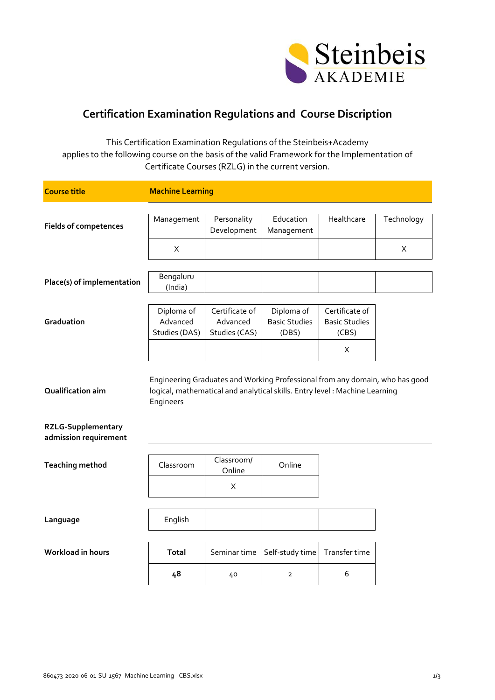

## **Certification Examination Regulations and Course Discription**

This Certification Examination Regulations of the Steinbeis+Academy applies to the following course on the basis of the valid Framework for the Implementation of Certificate Courses (RZLG) in the current version.

| <b>Course title</b>          | <b>Machine Learning</b> |                            |                                                                              |                      |            |
|------------------------------|-------------------------|----------------------------|------------------------------------------------------------------------------|----------------------|------------|
|                              |                         |                            |                                                                              |                      |            |
| <b>Fields of competences</b> | Management              | Personality<br>Development | Education<br>Management                                                      | Healthcare           | Technology |
|                              |                         |                            |                                                                              |                      |            |
|                              | X                       |                            |                                                                              |                      | X          |
|                              |                         |                            |                                                                              |                      |            |
| Place(s) of implementation   | Bengaluru<br>(India)    |                            |                                                                              |                      |            |
|                              |                         |                            |                                                                              |                      |            |
|                              | Diploma of              | Certificate of             | Diploma of                                                                   | Certificate of       |            |
| Graduation                   | Advanced                | Advanced                   | <b>Basic Studies</b>                                                         | <b>Basic Studies</b> |            |
|                              | Studies (DAS)           | Studies (CAS)              | (DBS)                                                                        | (CBS)                |            |
|                              |                         |                            |                                                                              | X                    |            |
|                              |                         |                            |                                                                              |                      |            |
|                              |                         |                            | Engineering Graduates and Working Professional from any domain, who has good |                      |            |
| Qualification aim            |                         |                            | logical, mathematical and analytical skills. Entry level: Machine Learning   |                      |            |
|                              | Engineers               |                            |                                                                              |                      |            |
| <b>RZLG-Supplementary</b>    |                         |                            |                                                                              |                      |            |
| admission requirement        |                         |                            |                                                                              |                      |            |
|                              |                         |                            |                                                                              |                      |            |
| <b>Teaching method</b>       | Classroom               | Classroom/<br>Online       | Online                                                                       |                      |            |
|                              |                         |                            |                                                                              |                      |            |
|                              |                         | X                          |                                                                              |                      |            |
|                              |                         |                            |                                                                              |                      |            |
| Language                     | English                 |                            |                                                                              |                      |            |
|                              |                         |                            |                                                                              |                      |            |
| Workload in hours            | <b>Total</b>            | Seminar time               | Self-study time                                                              | Transfer time        |            |
|                              | 48                      | 40                         | $\overline{2}$                                                               | 6                    |            |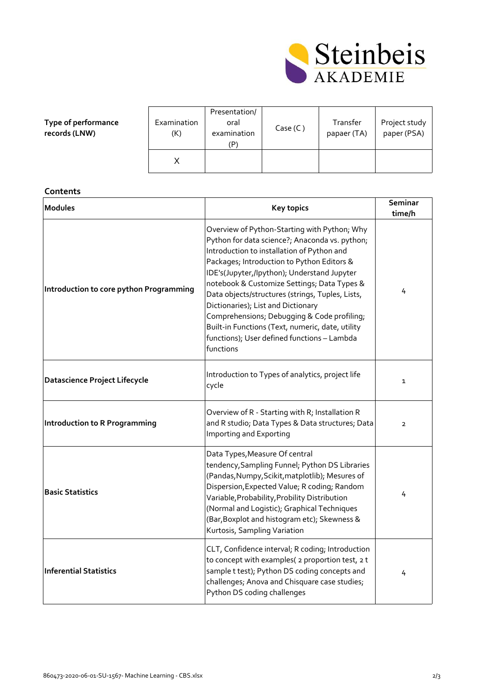

| Type of performance |
|---------------------|
| records (LNW)       |

| Examination<br>(K) | Presentation/<br>oral<br>examination<br>(P | Case $(C)$ | Transfer<br>papaer (TA) | Project study<br>paper (PSA) |
|--------------------|--------------------------------------------|------------|-------------------------|------------------------------|
|                    |                                            |            |                         |                              |

**Contents**

| <b>Modules</b>                          | <b>Key topics</b>                                                                                                                                                                                                                                                                                                                                                                                                                                                                                                                                 | Seminar<br>time/h |
|-----------------------------------------|---------------------------------------------------------------------------------------------------------------------------------------------------------------------------------------------------------------------------------------------------------------------------------------------------------------------------------------------------------------------------------------------------------------------------------------------------------------------------------------------------------------------------------------------------|-------------------|
| Introduction to core python Programming | Overview of Python-Starting with Python; Why<br>Python for data science?; Anaconda vs. python;<br>Introduction to installation of Python and<br>Packages; Introduction to Python Editors &<br>IDE's(Jupyter,/Ipython); Understand Jupyter<br>notebook & Customize Settings; Data Types &<br>Data objects/structures (strings, Tuples, Lists,<br>Dictionaries); List and Dictionary<br>Comprehensions; Debugging & Code profiling;<br>Built-in Functions (Text, numeric, date, utility<br>functions); User defined functions - Lambda<br>functions | 4                 |
| <b>Datascience Project Lifecycle</b>    | Introduction to Types of analytics, project life<br>cycle                                                                                                                                                                                                                                                                                                                                                                                                                                                                                         | $\mathbf{1}$      |
| <b>Introduction to R Programming</b>    | Overview of R - Starting with R; Installation R<br>and R studio; Data Types & Data structures; Data<br>Importing and Exporting                                                                                                                                                                                                                                                                                                                                                                                                                    | $\overline{2}$    |
| <b>Basic Statistics</b>                 | Data Types, Measure Of central<br>tendency, Sampling Funnel; Python DS Libraries<br>(Pandas, Numpy, Scikit, matplotlib); Mesures of<br>Dispersion, Expected Value; R coding; Random<br>Variable, Probability, Probility Distribution<br>(Normal and Logistic); Graphical Techniques<br>(Bar, Boxplot and histogram etc); Skewness &<br>Kurtosis, Sampling Variation                                                                                                                                                                               | 4                 |
| <b>Inferential Statistics</b>           | CLT, Confidence interval; R coding; Introduction<br>to concept with examples( 2 proportion test, 2 t<br>sample t test); Python DS coding concepts and<br>challenges; Anova and Chisquare case studies;<br>Python DS coding challenges                                                                                                                                                                                                                                                                                                             | 4                 |